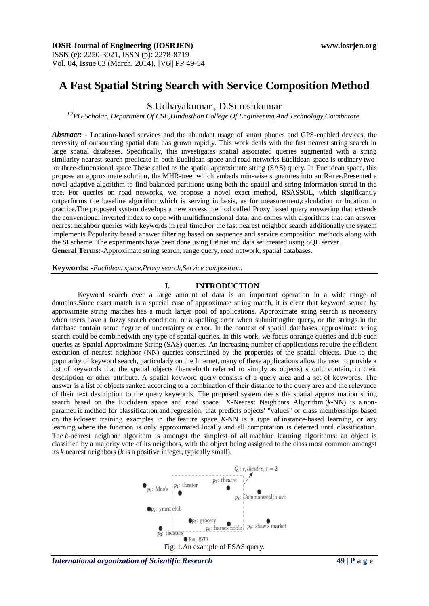# **A Fast Spatial String Search with Service Composition Method**

## S.Udhayakumar , D.Sureshkumar

*1,2PG Scholar, Department Of CSE,Hindusthan College Of Engineering And Technology,Coimbatore.*

*Abstract: -* Location-based services and the abundant usage of smart phones and GPS-enabled devices, the necessity of outsourcing spatial data has grown rapidly. This work deals with the fast nearest string search in large spatial databases. Specifically, this investigates spatial associated queries augmented with a string similarity nearest search predicate in both Euclidean space and road networks.Euclidean space is ordinary twoor three-dimensional space.These called as the spatial approximate string (SAS) query. In Euclidean space, this propose an approximate solution, the MHR-tree, which embeds min-wise signatures into an R-tree.Presented a novel adaptive algorithm to find balanced partitions using both the spatial and string information stored in the tree. For queries on road networks, we propose a novel exact method, RSASSOL, which significantly outperforms the baseline algorithm which is serving in basis, as for measurement,calculation or location in practice.The proposed system develops a new access method called Proxy based query answering that extends the conventional inverted index to cope with multidimensional data, and comes with algorithms that can answer nearest neighbor queries with keywords in real time.For the fast nearest neighbor search additionally the system implements Popularity based answer filtering based on sequence and service composition methods along with the SI scheme. The experiments have been done using C#.net and data set created using SQL server. **General Terms:-**Approximate string search, range query, road network, spatial databases.

**Keywords: -***Euclidean space,Proxy search,Service composition.*

#### **I. INTRODUCTION**

Keyword search over a large amount of data is an important operation in a wide range of domains.Since exact match is a special case of approximate string match, it is clear that keyword search by approximate string matches has a much larger pool of applications. Approximate string search is necessary when users have a fuzzy search condition, or a spelling error when submittingthe query, or the strings in the database contain some degree of uncertainty or error. In the context of spatial databases, approximate string search could be combinedwith any type of spatial queries. In this work, we focus onrange queries and dub such queries as Spatial Approximate String (SAS) queries. An increasing number of applications require the efficient execution of nearest neighbor (NN) queries constrained by the properties of the spatial objects. Due to the popularity of keyword search, particularly on the Internet, many of these applications allow the user to provide a list of keywords that the spatial objects (henceforth referred to simply as objects) should contain, in their description or other attribute. A spatial keyword query consists of a query area and a set of keywords. The answer is a list of objects ranked according to a combination of their distance to the query area and the relevance of their text description to the query keywords. The proposed system deals the spatial approximation string search based on the Euclidean space and road space. *K*-Nearest Neighbors Algorithm (*k*-NN) is a [non](http://en.wikipedia.org/wiki/Non-parametric_statistics)[parametric](http://en.wikipedia.org/wiki/Non-parametric_statistics) method for [classification](http://en.wikipedia.org/wiki/Statistical_classification) and [regression,](http://en.wikipedia.org/wiki/Regression_analysis) that predicts objects' "values" or class memberships based on the *k*closest training examples in the [feature space.](http://en.wikipedia.org/wiki/Feature_space) *K*-NN is a type of [instance-based learning,](http://en.wikipedia.org/wiki/Instance-based_learning) or [lazy](http://en.wikipedia.org/wiki/Lazy_learning)  [learning](http://en.wikipedia.org/wiki/Lazy_learning) where the function is only approximated locally and all computation is deferred until classification. The *k*-nearest neighbor algorithm is amongst the simplest of all [machine learning](http://en.wikipedia.org/wiki/Machine_learning) algorithms: an object is classified by a majority vote of its neighbors, with the object being assigned to the class most common amongst its *k* nearest neighbors (*k* is a positive [integer,](http://en.wikipedia.org/wiki/Integer) typically small).



*International organization of Scientific Research* 49 **49**   $\mathbf{P}$  a g e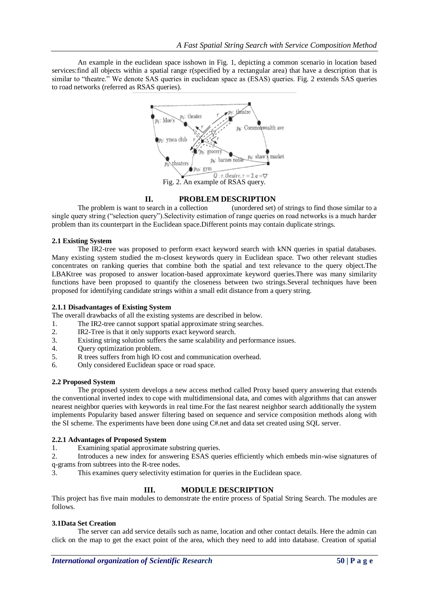An example in the euclidean space isshown in Fig. 1, depicting a common scenario in location based services:find all objects within a spatial range r(specified by a rectangular area) that have a description that is similar to "theatre." We denote SAS queries in euclidean space as (ESAS) queries. Fig. 2 extends SAS queries to road networks (referred as RSAS queries).



## **II. PROBLEM DESCRIPTION**

The problem is want to search in a collection (unordered set) of strings to find those similar to a single query string ("selection query").Selectivity estimation of range queries on road networks is a much harder problem than its counterpart in the Euclidean space.Different points may contain duplicate strings.

### **2.1 Existing System**

The IR2-tree was proposed to perform exact keyword search with kNN queries in spatial databases. Many existing system studied the m-closest keywords query in Euclidean space. Two other relevant studies concentrates on ranking queries that combine both the spatial and text relevance to the query object.The LBAKtree was proposed to answer location-based approximate keyword queries.There was many similarity functions have been proposed to quantify the closeness between two strings.Several techniques have been proposed for identifying candidate strings within a small edit distance from a query string.

#### **2.1.1 Disadvantages of Existing System**

The overall drawbacks of all the existing systems are described in below.

- 1. The IR2-tree cannot support spatial approximate string searches.
- 2. IR2-Tree is that it only supports exact keyword search.
- 3. Existing string solution suffers the same scalability and performance issues.
- 4. Query optimization problem.
- 5. R trees suffers from high IO cost and communication overhead.
- 6. Only considered Euclidean space or road space.

#### **2.2 Proposed System**

The proposed system develops a new access method called Proxy based query answering that extends the conventional inverted index to cope with multidimensional data, and comes with algorithms that can answer nearest neighbor queries with keywords in real time.For the fast nearest neighbor search additionally the system implements Popularity based answer filtering based on sequence and service composition methods along with the SI scheme. The experiments have been done using C#.net and data set created using SQL server.

## **2.2.1 Advantages of Proposed System**

1. Examining spatial approximate substring queries.

2. Introduces a new index for answering ESAS queries efficiently which embeds min-wise signatures of q-grams from subtrees into the R-tree nodes.

3. This examines query selectivity estimation for queries in the Euclidean space.

## **III. MODULE DESCRIPTION**

This project has five main modules to demonstrate the entire process of Spatial String Search. The modules are follows.

#### **3.1Data Set Creation**

The server can add service details such as name, location and other contact details. Here the admin can click on the map to get the exact point of the area, which they need to add into database. Creation of spatial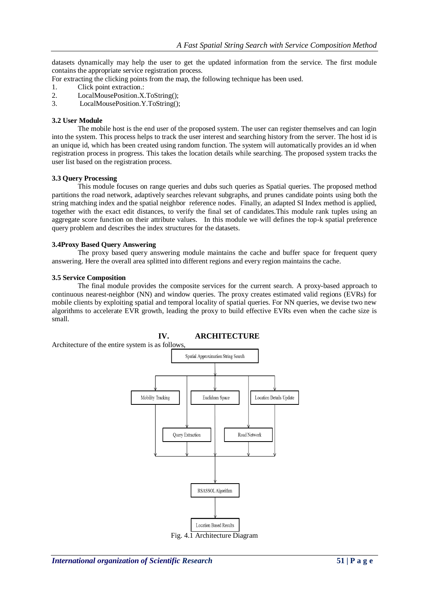datasets dynamically may help the user to get the updated information from the service. The first module contains the appropriate service registration process.

For extracting the clicking points from the map, the following technique has been used.

- 1. Click point extraction.:
- 2. LocalMousePosition.X.ToString();
- 3. LocalMousePosition.Y.ToString();

#### **3.2 User Module**

The mobile host is the end user of the proposed system. The user can register themselves and can login into the system. This process helps to track the user interest and searching history from the server. The host id is an unique id, which has been created using random function. The system will automatically provides an id when registration process in progress. This takes the location details while searching. The proposed system tracks the user list based on the registration process.

#### **3.3 Query Processing**

This module focuses on range queries and dubs such queries as Spatial queries. The proposed method partitions the road network, adaptively searches relevant subgraphs, and prunes candidate points using both the string matching index and the spatial neighbor reference nodes. Finally, an adapted SI Index method is applied, together with the exact edit distances, to verify the final set of candidates.This module rank tuples using an aggregate score function on their attribute values. In this module we will defines the top-k spatial preference query problem and describes the index structures for the datasets.

#### **3.4Proxy Based Query Answering**

The proxy based query answering module maintains the cache and buffer space for frequent query answering. Here the overall area splitted into different regions and every region maintains the cache.

#### **3.5 Service Composition**

The final module provides the composite services for the current search. A proxy-based approach to continuous nearest-neighbor (NN) and window queries. The proxy creates estimated valid regions (EVRs) for mobile clients by exploiting spatial and temporal locality of spatial queries. For NN queries, we devise two new algorithms to accelerate EVR growth, leading the proxy to build effective EVRs even when the cache size is small.

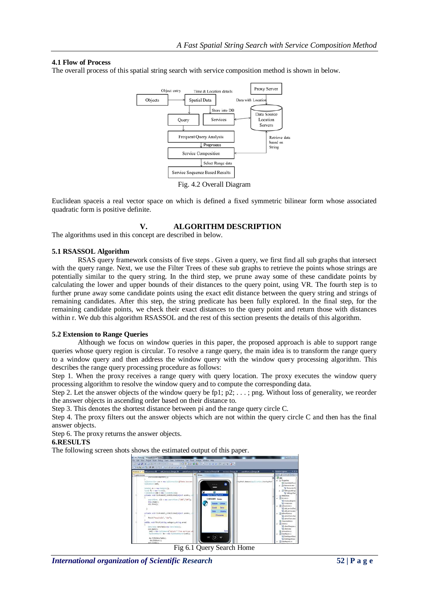#### **4.1 Flow of Process**

The overall process of this spatial string search with service composition method is shown in below.



Euclidean spaceis a real vector space on which is defined a fixed symmetric bilinear form whose associated quadratic form is positive definite.

## **V. ALGORITHM DESCRIPTION**

The algorithms used in this concept are described in below.

#### **5.1 RSASSOL Algorithm**

RSAS query framework consists of five steps . Given a query, we first find all sub graphs that intersect with the query range. Next, we use the Filter Trees of these sub graphs to retrieve the points whose strings are potentially similar to the query string. In the third step, we prune away some of these candidate points by calculating the lower and upper bounds of their distances to the query point, using VR. The fourth step is to further prune away some candidate points using the exact edit distance between the query string and strings of remaining candidates. After this step, the string predicate has been fully explored. In the final step, for the remaining candidate points, we check their exact distances to the query point and return those with distances within r. We dub this algorithm RSASSOL and the rest of this section presents the details of this algorithm.

#### **5.2 Extension to Range Queries**

Although we focus on window queries in this paper, the proposed approach is able to support range queries whose query region is circular. To resolve a range query, the main idea is to transform the range query to a window query and then address the window query with the window query processing algorithm. This describes the range query processing procedure as follows:

Step 1. When the proxy receives a range query with query location. The proxy executes the window query processing algorithm to resolve the window query and to compute the corresponding data.

Step 2. Let the answer objects of the window query be fp1; p2; . . . ; png. Without loss of generality, we reorder the answer objects in ascending order based on their distance to.

Step 3. This denotes the shortest distance between pi and the range query circle C.

Step 4. The proxy filters out the answer objects which are not within the query circle C and then has the final answer objects.

Step 6. The proxy returns the answer objects.

#### **6.RESULTS**

The following screen shots shows the estimated output of this paper.



Fig 6.1 Query Search Home

*International organization of Scientific Research* **52 | P a g e**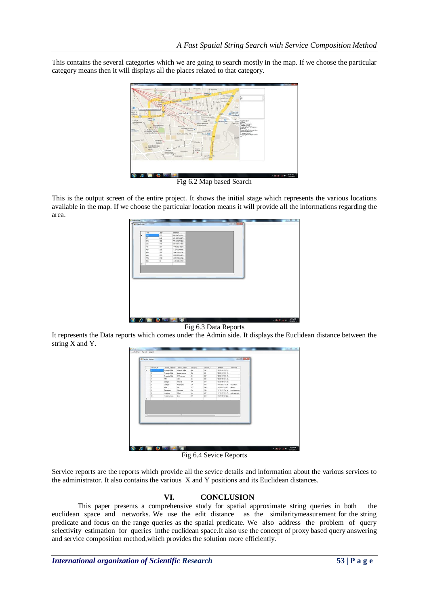This contains the several categories which we are going to search mostly in the map. If we choose the particular category means then it will displays all the places related to that category.



Fig 6.2 Map based Search

This is the output screen of the entire project. It shows the initial stage which represents the various locations available in the map. If we choose the particular location means it will provide all the informations regarding the area.

|   |                |      |                 | could anten |  |  |
|---|----------------|------|-----------------|-------------|--|--|
|   | lock           | locy | disnos          |             |  |  |
| × | $\overline{2}$ | 437  | 500 5047452122  |             |  |  |
|   | 371            | 365  | 663-4557450977  |             |  |  |
|   | 276            | 108  | 775.3779723463  |             |  |  |
|   | 406            | 310  | 528 5187127893. |             |  |  |
|   | 431            | 397  | 1044.393125216  |             |  |  |
|   | c)a            | 309  | 1172430808192   |             |  |  |
|   | ett            | 191  | 1284 219218046  |             |  |  |
|   | eto            | 28   | 1405 825024674  |             |  |  |
|   | S%             | 222  | 1533 570012744  |             |  |  |
|   | 556            | 50   | 1647.169033747. |             |  |  |
| ٠ |                |      |                 |             |  |  |
|   |                |      |                 |             |  |  |
|   |                |      |                 |             |  |  |
|   |                |      |                 |             |  |  |
|   |                |      |                 |             |  |  |
|   |                |      |                 |             |  |  |
|   |                |      |                 |             |  |  |
|   |                |      |                 |             |  |  |
|   |                |      |                 |             |  |  |
|   |                |      |                 |             |  |  |
|   |                |      |                 |             |  |  |
|   |                |      |                 |             |  |  |
|   |                |      |                 |             |  |  |

Fig 6.3 Data Reports

It represents the Data reports which comes under the Admin side. It displays the Euclidean distance between the string X and Y.

| Shepping Mail<br>408<br>chema, ska<br>T31<br>15/22/2013 5:31<br>٠<br>198<br>$^{50}$<br>Shopping Mall<br>10/22/2013 6:19<br>kale/a sarees<br>ä<br>207<br>Shopping Mail<br>PSR sames<br>431<br>10/22/2013 6:19<br>ia.<br><b>SBI</b><br>434<br>309<br>ATM<br>10/23/2013 1:10<br>٠<br>406<br>350<br>10/23/2013 1:20<br>s<br>Colleges<br><b>KNCAS</b><br>376<br>108<br>11/5/2013 12:56<br>Colleges<br>education<br>×<br>kasagan<br>ATM<br>371<br>245<br>11/3/2013 6:04<br>d en<br>l9.<br><b>Star</b><br>450<br>295<br>11/18/2013 4:34 hotel restaurant<br>Mangala<br>×<br>Restaurant<br>437<br><b>Dirt</b><br>244<br>11/15/2013 115. multi speciality 3<br>s<br>Hospitale<br><b>KN</b><br>212<br>11/27/2013 12:2. 8<br>10<br>IT companies<br>bev<br>٠<br>×.<br>$\overline{a}$ | service, id. | service_category | service_name | annon_x | service,y | datative | keywords |  |
|--------------------------------------------------------------------------------------------------------------------------------------------------------------------------------------------------------------------------------------------------------------------------------------------------------------------------------------------------------------------------------------------------------------------------------------------------------------------------------------------------------------------------------------------------------------------------------------------------------------------------------------------------------------------------------------------------------------------------------------------------------------------------|--------------|------------------|--------------|---------|-----------|----------|----------|--|
|                                                                                                                                                                                                                                                                                                                                                                                                                                                                                                                                                                                                                                                                                                                                                                          |              |                  |              |         |           |          |          |  |
|                                                                                                                                                                                                                                                                                                                                                                                                                                                                                                                                                                                                                                                                                                                                                                          |              |                  |              |         |           |          |          |  |
|                                                                                                                                                                                                                                                                                                                                                                                                                                                                                                                                                                                                                                                                                                                                                                          |              |                  |              |         |           |          |          |  |
|                                                                                                                                                                                                                                                                                                                                                                                                                                                                                                                                                                                                                                                                                                                                                                          |              |                  |              |         |           |          |          |  |
|                                                                                                                                                                                                                                                                                                                                                                                                                                                                                                                                                                                                                                                                                                                                                                          |              |                  |              |         |           |          |          |  |
|                                                                                                                                                                                                                                                                                                                                                                                                                                                                                                                                                                                                                                                                                                                                                                          |              |                  |              |         |           |          |          |  |
|                                                                                                                                                                                                                                                                                                                                                                                                                                                                                                                                                                                                                                                                                                                                                                          |              |                  |              |         |           |          |          |  |
|                                                                                                                                                                                                                                                                                                                                                                                                                                                                                                                                                                                                                                                                                                                                                                          |              |                  |              |         |           |          |          |  |
|                                                                                                                                                                                                                                                                                                                                                                                                                                                                                                                                                                                                                                                                                                                                                                          |              |                  |              |         |           |          |          |  |
|                                                                                                                                                                                                                                                                                                                                                                                                                                                                                                                                                                                                                                                                                                                                                                          |              |                  |              |         |           |          |          |  |
|                                                                                                                                                                                                                                                                                                                                                                                                                                                                                                                                                                                                                                                                                                                                                                          |              |                  |              |         |           |          |          |  |
|                                                                                                                                                                                                                                                                                                                                                                                                                                                                                                                                                                                                                                                                                                                                                                          |              |                  |              |         |           |          |          |  |
|                                                                                                                                                                                                                                                                                                                                                                                                                                                                                                                                                                                                                                                                                                                                                                          |              |                  |              |         |           |          |          |  |
|                                                                                                                                                                                                                                                                                                                                                                                                                                                                                                                                                                                                                                                                                                                                                                          |              |                  |              |         |           |          |          |  |

Fig 6.4 Sevice Reports

Service reports are the reports which provide all the sevice details and information about the various services to the administrator. It also contains the various X and Y positions and its Euclidean distances.

## **VI. CONCLUSION**

This paper presents a comprehensive study for spatial approximate string queries in both the euclidean space and networks. We use the edit distance as the similaritymeasurement for the string predicate and focus on the range queries as the spatial predicate. We also address the problem of query selectivity estimation for queries inthe euclidean space.It also use the concept of proxy based query answering and service composition method,which provides the solution more efficiently.